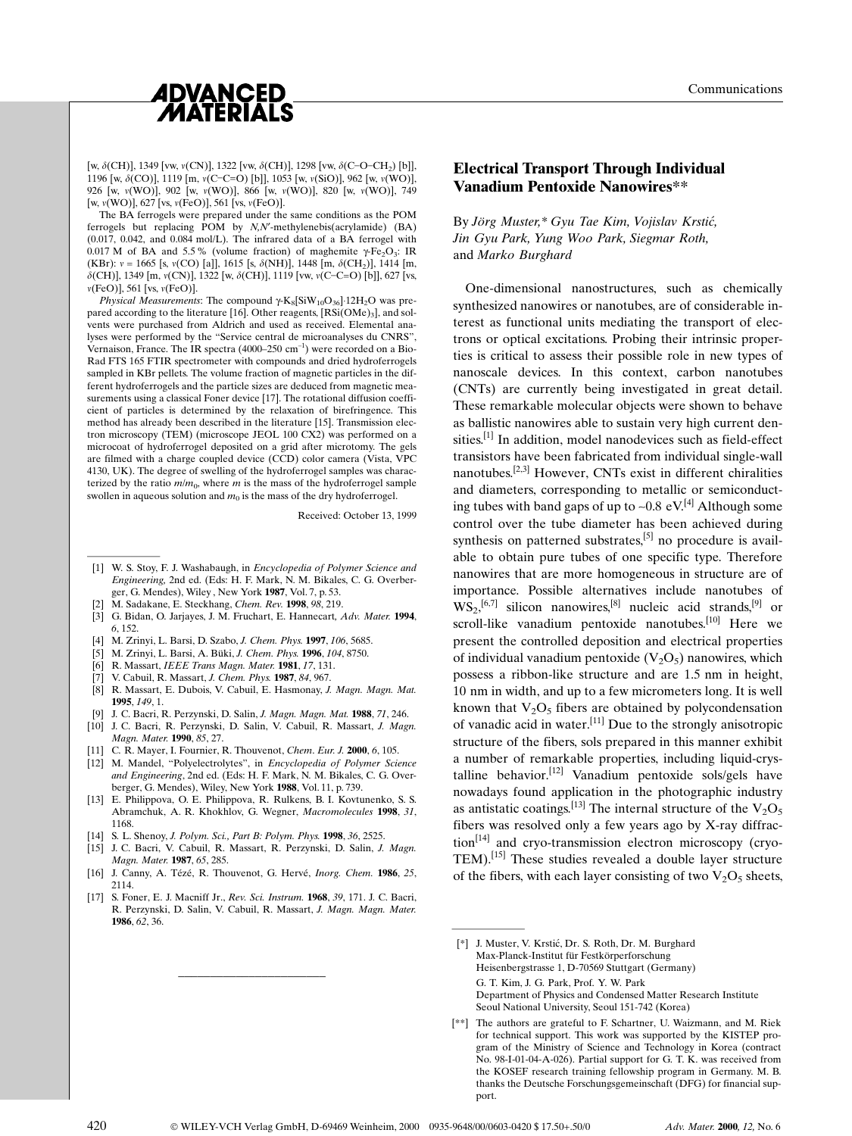

Communications

[w,  $\delta$ (CH)], 1349 [vw,  $\nu$ (CN)], 1322 [vw,  $\delta$ (CH)], 1298 [vw,  $\delta$ (C-O-CH<sub>2</sub>) [b]], 1196 [w,  $\delta$ (CO)], 1119 [m,  $\nu$ (C-C=O) [b]], 1053 [w,  $\nu$ (SiO)], 962 [w,  $\nu$ (WO)], 926 [w, n(WO)], 902 [w, n(WO)], 866 [w, n(WO)], 820 [w, n(WO)], 749 [w, v(WO)], 627 [vs, v(FeO)], 561 [vs, v(FeO)].

The BA ferrogels were prepared under the same conditions as the POM ferrogels but replacing POM by  $N, N'$ -methylenebis(acrylamide) (BA)  $(0.017, 0.042,$  and  $0.084$  mol/L). The infrared data of a BA ferrogel with 0.017 M of BA and 5.5% (volume fraction) of maghemite  $\gamma$ -Fe<sub>2</sub>O<sub>3</sub>: IR (KBr):  $v = 1665$  [s,  $v(CO)$  [a]], 1615 [s,  $\delta(NH)$ ], 1448 [m,  $\delta(CH_2)$ ], 1414 [m,  $\delta$ (CH)], 1349 [m, v(CN)], 1322 [w,  $\delta$ (CH)], 1119 [vw, v(C-C=O) [b]], 627 [vs,  $v(FeO)$ ], 561 [vs,  $v(FeO)$ ].

*Physical Measurements*: The compound  $\gamma$ -K<sub>8</sub>[SiW<sub>10</sub>O<sub>36</sub>]·12H<sub>2</sub>O was prepared according to the literature [16]. Other reagents, [RSi(OMe)<sub>3</sub>], and solvents were purchased from Aldrich and used as received. Elemental analyses were performed by the "Service central de microanalyses du CNRS", Vernaison. France. The IR spectra  $(4000-250 \text{ cm}^{-1})$  were recorded on a Bio-Rad FTS 165 FTIR spectrometer with compounds and dried hydroferrogels sampled in KBr pellets. The volume fraction of magnetic particles in the different hydroferrogels and the particle sizes are deduced from magnetic measurements using a classical Foner device [17]. The rotational diffusion coefficient of particles is determined by the relaxation of birefringence. This method has already been described in the literature [15]. Transmission electron microscopy (TEM) (microscope JEOL 100 CX2) was performed on a microcoat of hydroferrogel deposited on a grid after microtomy. The gels are filmed with a charge coupled device (CCD) color camera (Vista, VPC 4130, UK). The degree of swelling of the hydroferrogel samples was characterized by the ratio  $m/m_0$ , where m is the mass of the hydroferrogel sample swollen in aqueous solution and  $m_0$  is the mass of the dry hydroferrogel. marcocontraction<br>are filmed with a<br>4130, UK). The c<br>terized by the ra<br>swollen in aqueo<br>[1] W. S. Stoy,<br>Engineering<br>er G

Received: October 13, 1999

- [1] W. S. Stoy, F. J. Washabaugh, in *Encyclopedia of Polymer Science and* Engineering, 2nd ed. (Eds: H. F. Mark, N. M. Bikales, C. G. Overberger, G. Mendes), Wiley , New York 1987, Vol. 7, p. 53.
- M. Sadakane, E. Steckhang, Chem. Rev. 1998, 98, 219.
- [3] G. Bidan, O. Jarjayes, J. M. Fruchart, E. Hannecart, Adv. Mater. 1994, 6, 152.
- [4] M. Zrinyi, L. Barsi, D. Szabo, J. Chem. Phys. 1997, 106, 5685.
- [5] M. Zrinyi, L. Barsi, A. Büki, J. Chem. Phys. 1996, 104, 8750.
- [6] R. Massart, IEEE Trans Magn. Mater. 1981, 17, 131.
- [7] V. Cabuil, R. Massart, J. Chem. Phys. 1987, 84, 967.
- [8] R. Massart, E. Dubois, V. Cabuil, E. Hasmonay, J. Magn. Magn. Mat. 1995, 149, 1.
- J. C. Bacri, R. Perzynski, D. Salin, J. Magn. Magn. Mat. 1988, 71, 246.
- [10] J. C. Bacri, R. Perzynski, D. Salin, V. Cabuil, R. Massart, J. Magn. Magn. Mater. 1990, 85, 27.
- [11] C. R. Mayer, I. Fournier, R. Thouvenot, *Chem. Eur. J.* **2000**, 6, 105.
- [12] M. Mandel, "Polyelectrolytes", in Encyclopedia of Polymer Science and Engineering, 2nd ed. (Eds: H. F. Mark, N. M. Bikales, C. G. Overberger, G. Mendes), Wiley, New York 1988, Vol. 11, p. 739.
- [13] E. Philippova, O. E. Philippova, R. Rulkens, B. I. Kovtunenko, S. S. Abramchuk, A. R. Khokhlov, G. Wegner, Macromolecules 1998, 31, 1168.
- [14] S. L. Shenoy, J. Polym. Sci., Part B: Polym. Phys. 1998, 36, 2525.
- [15] J. C. Bacri, V. Cabuil, R. Massart, R. Perzynski, D. Salin, J. Magn. Magn. Mater. 1987, 65, 285.
- [16] J. Canny, A. Tézé, R. Thouvenot, G. Hervé, *Inorg. Chem.* 1986, 25, 2114.
- [17] S. Foner, E. J. Macniff Jr., Rev. Sci. Instrum. **1968**, 39, 171. J. C. Bacri, R. Perzynski, D. Salin, V. Cabuil, R. Massart, J. Magn. Magn. Mater.  $1986, 62, 36$

\_\_\_\_\_\_\_\_\_\_\_\_\_\_\_\_\_\_\_\_\_\_\_

## Electrical Transport Through Individual Vanadium Pentoxide Nanowires\*\*

By Jörg Muster,\* Gyu Tae Kim, Vojislav Krstić, Jin Gyu Park, Yung Woo Park, Siegmar Roth, and Marko Burghard

One-dimensional nanostructures, such as chemically synthesized nanowires or nanotubes, are of considerable interest as functional units mediating the transport of electrons or optical excitations. Probing their intrinsic properties is critical to assess their possible role in new types of nanoscale devices. In this context, carbon nanotubes (CNTs) are currently being investigated in great detail. These remarkable molecular objects were shown to behave as ballistic nanowires able to sustain very high current densities.<sup>[1]</sup> In addition, model nanodevices such as field-effect transistors have been fabricated from individual single-wall nanotubes.[2,3] However, CNTs exist in different chiralities and diameters, corresponding to metallic or semiconducting tubes with band gaps of up to  $\sim 0.8$  eV.<sup>[4]</sup> Although some control over the tube diameter has been achieved during synthesis on patterned substrates,<sup>[5]</sup> no procedure is available to obtain pure tubes of one specific type. Therefore nanowires that are more homogeneous in structure are of importance. Possible alternatives include nanotubes of  $WS_2$ ,<sup>[6,7]</sup> silicon nanowires,<sup>[8]</sup> nucleic acid strands,<sup>[9]</sup> or scroll-like vanadium pentoxide nanotubes.<sup>[10]</sup> Here we present the controlled deposition and electrical properties of individual vanadium pentoxide  $(V_2O_5)$  nanowires, which possess a ribbon-like structure and are 1.5 nm in height, 10 nm in width, and up to a few micrometers long. It is well known that  $V_2O_5$  fibers are obtained by polycondensation of vanadic acid in water.<sup>[11]</sup> Due to the strongly anisotropic structure of the fibers, sols prepared in this manner exhibit a number of remarkable properties, including liquid-crystalline behavior.<sup>[12]</sup> Vanadium pentoxide sols/gels have nowadays found application in the photographic industry as antistatic coatings.<sup>[13]</sup> The internal structure of the  $V_2O_5$ fibers was resolved only a few years ago by X-ray diffrac- $\text{tion}^{[14]}$  and cryo-transmission electron microscopy (cryo-TEM).<sup>[15]</sup> These studies revealed a double layer structure of the fibers, with each layer consisting of two  $V_2O_5$  sheets, fibers was re<br>
tion<sup>[14]</sup> and  $(TEM)$ .<sup>[15]</sup> Th<br>
of the fibers,<br>  $\begin{bmatrix} \n\text{#} & \text{Muster, N} \\
\text{Master, Max-Planck} & \text{Mair-Planck}\n\end{bmatrix}$ 

<sup>[\*]</sup> J. Muster, V. Krstić, Dr. S. Roth, Dr. M. Burghard Max-Planck-Institut für Festkörperforschung Heisenbergstrasse 1, D-70569 Stuttgart (Germany) G. T. Kim, J. G. Park, Prof. Y. W. Park Department of Physics and Condensed Matter Research Institute Seoul National University, Seoul 151-742 (Korea)

<sup>[\*\*]</sup> The authors are grateful to F. Schartner, U. Waizmann, and M. Riek for technical support. This work was supported by the KISTEP program of the Ministry of Science and Technology in Korea (contract No. 98-I-01-04-A-026). Partial support for G. T. K. was received from the KOSEF research training fellowship program in Germany. M. B. thanks the Deutsche Forschungsgemeinschaft (DFG) for financial support.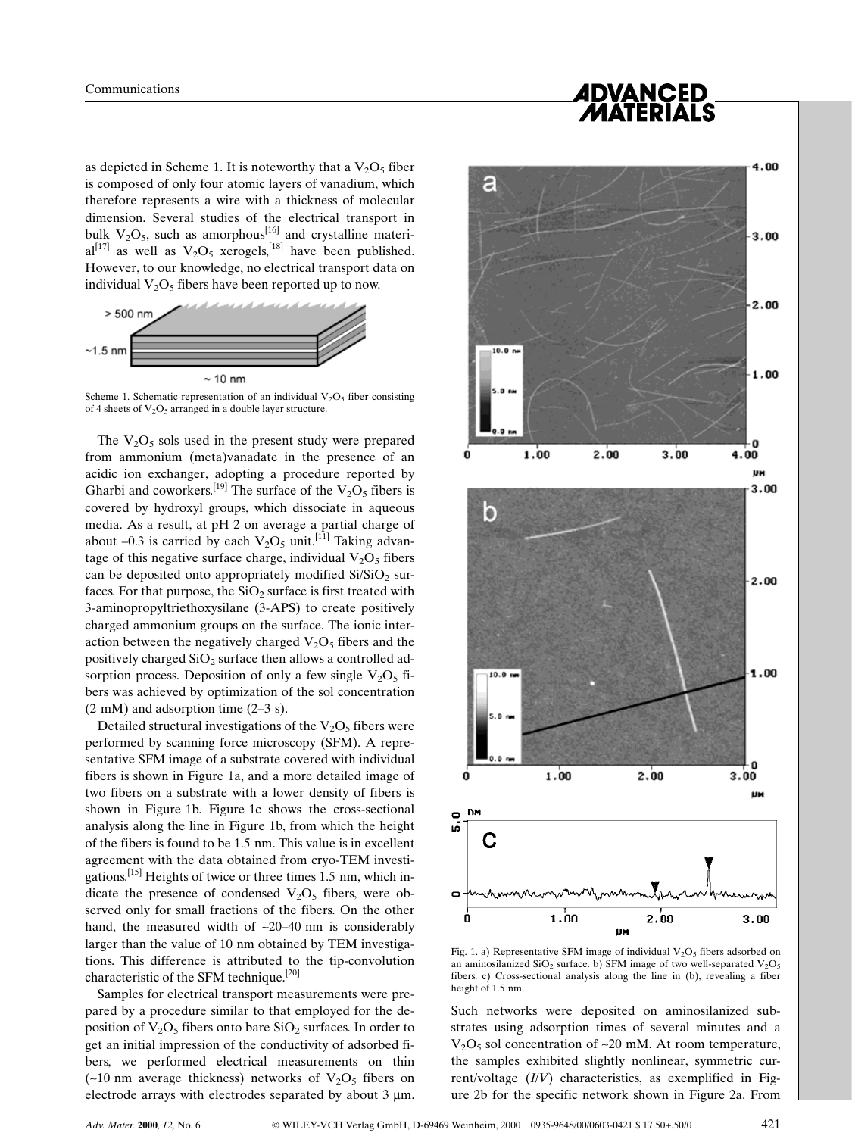*ADVANCED<br>MATERIALS* 

as depicted in Scheme 1. It is noteworthy that a  $V_2O_5$  fiber is composed of only four atomic layers of vanadium, which therefore represents a wire with a thickness of molecular dimension. Several studies of the electrical transport in bulk  $V_2O_5$ , such as amorphous<sup>[16]</sup> and crystalline materi $al^{[17]}$  as well as  $V_2O_5$  xerogels,<sup>[18]</sup> have been published. However, to our knowledge, no electrical transport data on individual  $V_2O_5$  fibers have been reported up to now.



Scheme 1. Schematic representation of an individual  $V_2O_5$  fiber consisting of 4 sheets of  $V_2O_5$  arranged in a double layer structure.

The  $V_2O_5$  sols used in the present study were prepared from ammonium (meta)vanadate in the presence of an acidic ion exchanger, adopting a procedure reported by Gharbi and coworkers.<sup>[19]</sup> The surface of the  $V_2O_5$  fibers is covered by hydroxyl groups, which dissociate in aqueous media. As a result, at pH 2 on average a partial charge of about  $-0.3$  is carried by each  $V_2O_5$  unit.<sup>[11]</sup> Taking advantage of this negative surface charge, individual  $V_2O_5$  fibers can be deposited onto appropriately modified  $Si/SiO<sub>2</sub>$  surfaces. For that purpose, the  $SiO<sub>2</sub>$  surface is first treated with 3-aminopropyltriethoxysilane (3-APS) to create positively charged ammonium groups on the surface. The ionic interaction between the negatively charged  $V_2O_5$  fibers and the positively charged  $SiO<sub>2</sub>$  surface then allows a controlled adsorption process. Deposition of only a few single  $V_2O_5$  fibers was achieved by optimization of the sol concentration  $(2 \text{ mM})$  and adsorption time  $(2-3 \text{ s})$ .

Detailed structural investigations of the  $V_2O_5$  fibers were performed by scanning force microscopy (SFM). A representative SFM image of a substrate covered with individual fibers is shown in Figure 1a, and a more detailed image of two fibers on a substrate with a lower density of fibers is shown in Figure 1b. Figure 1c shows the cross-sectional analysis along the line in Figure 1b, from which the height of the fibers is found to be 1.5 nm. This value is in excellent agreement with the data obtained from cryo-TEM investigations.<sup>[15]</sup> Heights of twice or three times 1.5 nm, which indicate the presence of condensed  $V_2O_5$  fibers, were observed only for small fractions of the fibers. On the other hand, the measured width of  $\sim$ 20–40 nm is considerably larger than the value of 10 nm obtained by TEM investigations. This difference is attributed to the tip-convolution characteristic of the SFM technique.<sup>[20]</sup>

Samples for electrical transport measurements were prepared by a procedure similar to that employed for the deposition of  $V_2O_5$  fibers onto bare  $SiO_2$  surfaces. In order to get an initial impression of the conductivity of adsorbed fibers, we performed electrical measurements on thin (~10 nm average thickness) networks of  $V_2O_5$  fibers on electrode arrays with electrodes separated by about  $3 \mu m$ .



Fig. 1. a) Representative SFM image of individual  $V_2O_5$  fibers adsorbed on an aminosilanized  $SiO<sub>2</sub>$  surface. b) SFM image of two well-separated  $V<sub>2</sub>O<sub>5</sub>$ fibers. c) Cross-sectional analysis along the line in (b), revealing a fiber height of 1.5 nm.

Such networks were deposited on aminosilanized substrates using adsorption times of several minutes and a  $V_2O_5$  sol concentration of  $\sim$ 20 mM. At room temperature, the samples exhibited slightly nonlinear, symmetric current/voltage  $(IV)$  characteristics, as exemplified in Figure 2b for the specific network shown in Figure 2a. From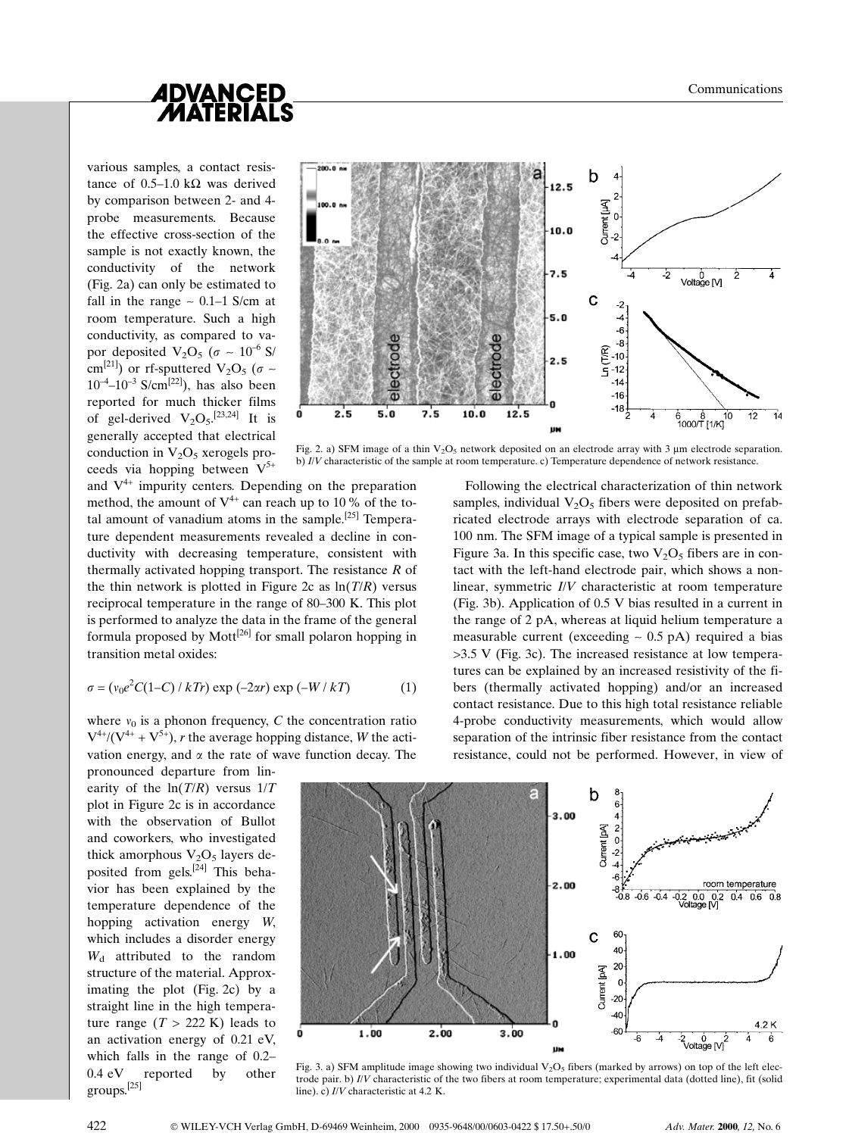

various samples, a contact resistance of 0.5-1.0 k $\Omega$  was derived by comparison between 2- and 4 probe measurements. Because the effective cross-section of the sample is not exactly known, the conductivity of the network (Fig. 2a) can only be estimated to fall in the range  $\sim 0.1-1$  S/cm at room temperature. Such a high conductivity, as compared to vapor deposited  $V_2O_5$  ( $\sigma \sim 10^{-6}$  S/ cm<sup>[21]</sup>) or rf-sputtered V<sub>2</sub>O<sub>5</sub> ( $\sigma \sim$  $10^{-4}$ - $10^{-3}$  S/cm<sup>[22]</sup>), has also been reported for much thicker films of gel-derived  $V_2O_5$ .<sup>[23,24]</sup> It is generally accepted that electrical conduction in  $V_2O_5$  xerogels proceeds via hopping between  $V^{5+}$ 



Fig. 2. a) SFM image of a thin  $V_2O_5$  network deposited on an electrode array with 3 µm electrode separation. b) I/V characteristic of the sample at room temperature. c) Temperature dependence of network resistance.

and  $V^{4+}$  impurity centers. Depending on the preparation method, the amount of  $V^{4+}$  can reach up to 10% of the total amount of vanadium atoms in the sample.<sup>[25]</sup> Temperature dependent measurements revealed a decline in conductivity with decreasing temperature, consistent with thermally activated hopping transport. The resistance  $R$  of the thin network is plotted in Figure 2c as  $ln(T/R)$  versus reciprocal temperature in the range of 80-300 K. This plot is performed to analyze the data in the frame of the general formula proposed by Mott<sup>[26]</sup> for small polaron hopping in transition metal oxides:

$$
\sigma = (v_0 e^2 C (1 - C) / k \textit{Tr}) \exp(-2\alpha r) \exp(-W / k \textit{T}) \tag{1}
$$

where  $v_0$  is a phonon frequency, C the concentration ratio  $V^{4+}/(V^{4+} + V^{5+})$ , r the average hopping distance, W the activation energy, and  $\alpha$  the rate of wave function decay. The

pronounced departure from linearity of the  $ln(T/R)$  versus  $1/T$ plot in Figure 2c is in accordance with the observation of Bullot and coworkers, who investigated thick amorphous  $V_2O_5$  layers deposited from gels.[24] This behavior has been explained by the temperature dependence of the hopping activation energy W, which includes a disorder energy  $W_d$  attributed to the random structure of the material. Approximating the plot (Fig. 2c) by a straight line in the high temperature range  $(T > 222 \text{ K})$  leads to an activation energy of 0.21 eV, which falls in the range of  $0.2-$ 0.4 eV reported by other groups.[25]





Fig. 3. a) SFM amplitude image showing two individual  $V_2O_5$  fibers (marked by arrows) on top of the left electrode pair. b) I/V characteristic of the two fibers at room temperature; experimental data (dotted line), fit (solid line). c) I/V characteristic at 4.2 K.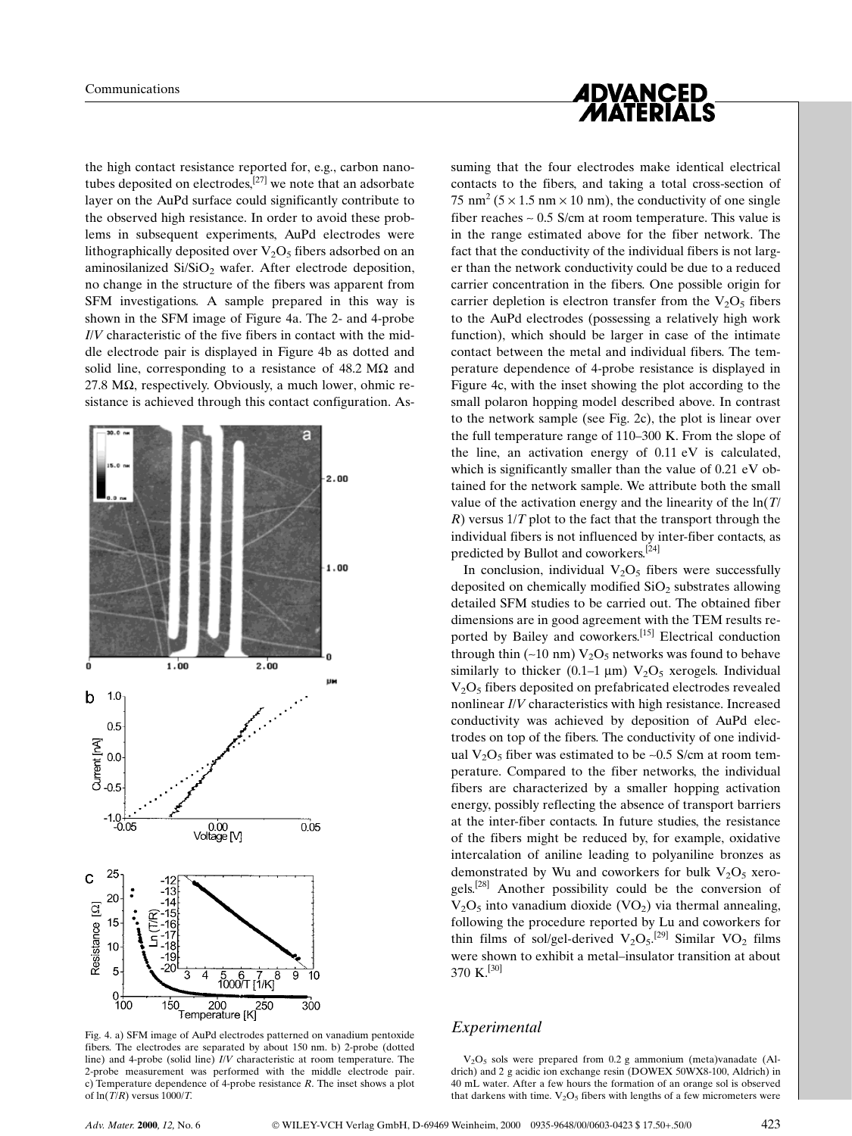the high contact resistance reported for, e.g., carbon nanotubes deposited on electrodes, $[27]$  we note that an adsorbate layer on the AuPd surface could significantly contribute to the observed high resistance. In order to avoid these problems in subsequent experiments, AuPd electrodes were lithographically deposited over  $V_2O_5$  fibers adsorbed on an aminosilanized  $Si/SiO<sub>2</sub>$  wafer. After electrode deposition, no change in the structure of the fibers was apparent from SFM investigations. A sample prepared in this way is shown in the SFM image of Figure 4a. The 2- and 4-probe I/V characteristic of the five fibers in contact with the middle electrode pair is displayed in Figure 4b as dotted and solid line, corresponding to a resistance of  $48.2 \text{ M}\Omega$  and  $27.8 \text{ M}\Omega$ , respectively. Obviously, a much lower, ohmic resistance is achieved through this contact configuration. As-



Fig. 4. a) SFM image of AuPd electrodes patterned on vanadium pentoxide fibers. The electrodes are separated by about 150 nm. b) 2-probe (dotted line) and 4-probe (solid line) I/V characteristic at room temperature. The 2-probe measurement was performed with the middle electrode pair. c) Temperature dependence of 4-probe resistance R. The inset shows a plot of  $ln(T/R)$  versus 1000/T.



suming that the four electrodes make identical electrical contacts to the fibers, and taking a total cross-section of 75 nm<sup>2</sup> ( $5 \times 1.5$  nm  $\times$  10 nm), the conductivity of one single fiber reaches  $\sim 0.5$  S/cm at room temperature. This value is in the range estimated above for the fiber network. The fact that the conductivity of the individual fibers is not larger than the network conductivity could be due to a reduced carrier concentration in the fibers. One possible origin for carrier depletion is electron transfer from the  $V_2O_5$  fibers to the AuPd electrodes (possessing a relatively high work function), which should be larger in case of the intimate contact between the metal and individual fibers. The temperature dependence of 4-probe resistance is displayed in Figure 4c, with the inset showing the plot according to the small polaron hopping model described above. In contrast to the network sample (see Fig. 2c), the plot is linear over the full temperature range of  $110-300$  K. From the slope of the line, an activation energy of 0.11 eV is calculated, which is significantly smaller than the value of 0.21 eV obtained for the network sample. We attribute both the small value of the activation energy and the linearity of the  $ln(T)$  $R$ ) versus  $1/T$  plot to the fact that the transport through the individual fibers is not influenced by inter-fiber contacts, as predicted by Bullot and coworkers.<sup>[24]</sup>

In conclusion, individual  $V_2O_5$  fibers were successfully deposited on chemically modified  $SiO<sub>2</sub>$  substrates allowing detailed SFM studies to be carried out. The obtained fiber dimensions are in good agreement with the TEM results reported by Bailey and coworkers.<sup>[15]</sup> Electrical conduction through thin  $(-10 \text{ nm}) \text{V}_2\text{O}_5$  networks was found to behave similarly to thicker (0.1–1  $\mu$ m) V<sub>2</sub>O<sub>5</sub> xerogels. Individual  $V<sub>2</sub>O<sub>5</sub>$  fibers deposited on prefabricated electrodes revealed nonlinear I/V characteristics with high resistance. Increased conductivity was achieved by deposition of AuPd electrodes on top of the fibers. The conductivity of one individual  $V_2O_5$  fiber was estimated to be ~0.5 S/cm at room temperature. Compared to the fiber networks, the individual fibers are characterized by a smaller hopping activation energy, possibly reflecting the absence of transport barriers at the inter-fiber contacts. In future studies, the resistance of the fibers might be reduced by, for example, oxidative intercalation of aniline leading to polyaniline bronzes as demonstrated by Wu and coworkers for bulk  $V_2O_5$  xerogels.[28] Another possibility could be the conversion of  $V_2O_5$  into vanadium dioxide (VO<sub>2</sub>) via thermal annealing, following the procedure reported by Lu and coworkers for thin films of sol/gel-derived  $V_2O_5$ .<sup>[29]</sup> Similar  $VO_2$  films were shown to exhibit a metal-insulator transition at about 370 K.[30]

## Experimental

 $V<sub>2</sub>O<sub>5</sub>$  sols were prepared from 0.2 g ammonium (meta)vanadate (Aldrich) and 2 g acidic ion exchange resin (DOWEX 50WX8-100, Aldrich) in 40 mL water. After a few hours the formation of an orange sol is observed that darkens with time.  $V_2O_5$  fibers with lengths of a few micrometers were